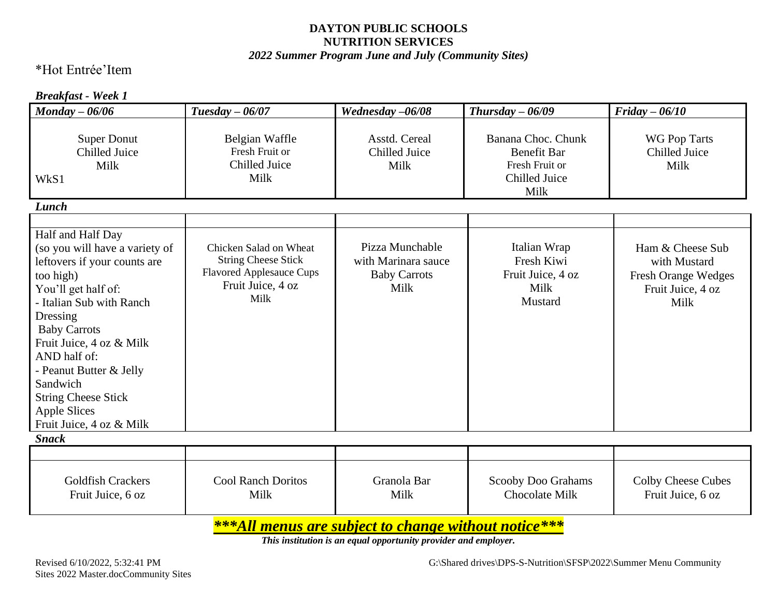#### *2022 Summer Program June and July (Community Sites)*

## \*Hot Entrée'Item

#### *Breakfast - Week 1*

| $\boldsymbol{M}$ onday - 06/06                                                                                                                                                                                                                                                                                                                             | Tuesday $-06/07$                                                                                                     | Wednesday -06/08                                                      | Thursday $-06/09$                                                                   | $Friday - 06/10$                                                                            |
|------------------------------------------------------------------------------------------------------------------------------------------------------------------------------------------------------------------------------------------------------------------------------------------------------------------------------------------------------------|----------------------------------------------------------------------------------------------------------------------|-----------------------------------------------------------------------|-------------------------------------------------------------------------------------|---------------------------------------------------------------------------------------------|
| <b>Super Donut</b><br><b>Chilled Juice</b><br>Milk<br>WkS1                                                                                                                                                                                                                                                                                                 | Belgian Waffle<br>Fresh Fruit or<br>Chilled Juice<br>Milk                                                            | Asstd. Cereal<br>Chilled Juice<br>Milk                                | Banana Choc. Chunk<br><b>Benefit Bar</b><br>Fresh Fruit or<br>Chilled Juice<br>Milk | WG Pop Tarts<br>Chilled Juice<br>Milk                                                       |
| Lunch                                                                                                                                                                                                                                                                                                                                                      |                                                                                                                      |                                                                       |                                                                                     |                                                                                             |
| Half and Half Day<br>(so you will have a variety of<br>leftovers if your counts are<br>too high)<br>You'll get half of:<br>- Italian Sub with Ranch<br>Dressing<br><b>Baby Carrots</b><br>Fruit Juice, 4 oz & Milk<br>AND half of:<br>- Peanut Butter & Jelly<br>Sandwich<br><b>String Cheese Stick</b><br><b>Apple Slices</b><br>Fruit Juice, 4 oz & Milk | Chicken Salad on Wheat<br><b>String Cheese Stick</b><br><b>Flavored Applesauce Cups</b><br>Fruit Juice, 4 oz<br>Milk | Pizza Munchable<br>with Marinara sauce<br><b>Baby Carrots</b><br>Milk | Italian Wrap<br>Fresh Kiwi<br>Fruit Juice, 4 oz<br>Milk<br>Mustard                  | Ham & Cheese Sub<br>with Mustard<br><b>Fresh Orange Wedges</b><br>Fruit Juice, 4 oz<br>Milk |
| <b>Snack</b>                                                                                                                                                                                                                                                                                                                                               |                                                                                                                      |                                                                       |                                                                                     |                                                                                             |
| <b>Goldfish Crackers</b><br>Fruit Juice, 6 oz                                                                                                                                                                                                                                                                                                              | <b>Cool Ranch Doritos</b><br>Milk                                                                                    | Granola Bar<br>Milk                                                   | Scooby Doo Grahams<br><b>Chocolate Milk</b>                                         | <b>Colby Cheese Cubes</b><br>Fruit Juice, 6 oz                                              |

*\*\*\*All menus are subject to change without notice\*\*\**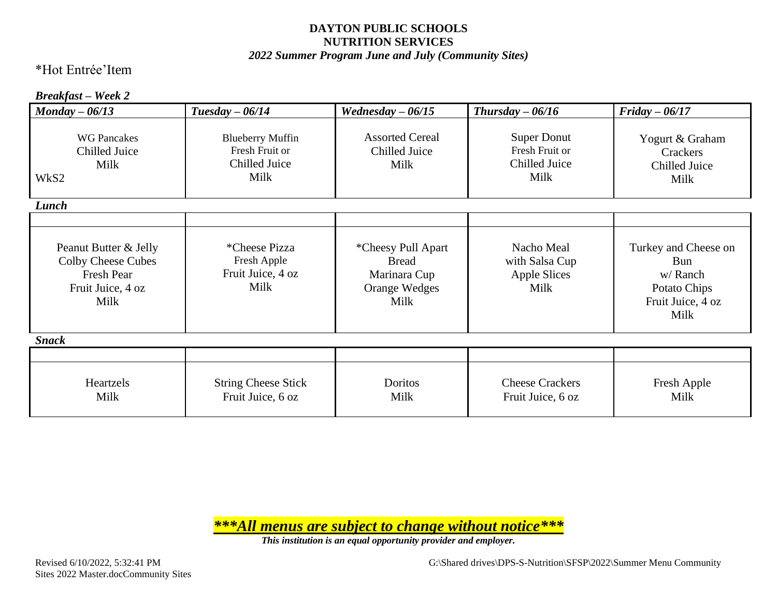#### *2022 Summer Program June and July (Community Sites)*

## \*Hot Entrée'Item

#### *Breakfast – Week 2*

| $\textit{Monday} - 06/13$                                                                     | Tuesday $-06/14$                                                   | Wednesday $-06/15$                                                                 | Thursday $-06/16$                                             | $Friday - 06/17$                                                                    |
|-----------------------------------------------------------------------------------------------|--------------------------------------------------------------------|------------------------------------------------------------------------------------|---------------------------------------------------------------|-------------------------------------------------------------------------------------|
| <b>WG Pancakes</b><br>Chilled Juice<br>Milk<br>WkS2                                           | <b>Blueberry Muffin</b><br>Fresh Fruit or<br>Chilled Juice<br>Milk | <b>Assorted Cereal</b><br>Chilled Juice<br>Milk                                    | <b>Super Donut</b><br>Fresh Fruit or<br>Chilled Juice<br>Milk | Yogurt & Graham<br>Crackers<br>Chilled Juice<br>Milk                                |
| Lunch                                                                                         |                                                                    |                                                                                    |                                                               |                                                                                     |
| Peanut Butter & Jelly<br>Colby Cheese Cubes<br><b>Fresh Pear</b><br>Fruit Juice, 4 oz<br>Milk | <i>*Cheese Pizza</i><br>Fresh Apple<br>Fruit Juice, 4 oz<br>Milk   | *Cheesy Pull Apart<br><b>Bread</b><br>Marinara Cup<br><b>Orange Wedges</b><br>Milk | Nacho Meal<br>with Salsa Cup<br>Apple Slices<br>Milk          | Turkey and Cheese on<br>Bun<br>w/Ranch<br>Potato Chips<br>Fruit Juice, 4 oz<br>Milk |
| <b>Snack</b>                                                                                  |                                                                    |                                                                                    |                                                               |                                                                                     |
|                                                                                               |                                                                    |                                                                                    |                                                               |                                                                                     |
| Heartzels<br>Milk                                                                             | <b>String Cheese Stick</b><br>Fruit Juice, 6 oz                    | Doritos<br>Milk                                                                    | <b>Cheese Crackers</b><br>Fruit Juice, 6 oz                   | Fresh Apple<br>Milk                                                                 |

*\*\*\*All menus are subject to change without notice\*\*\**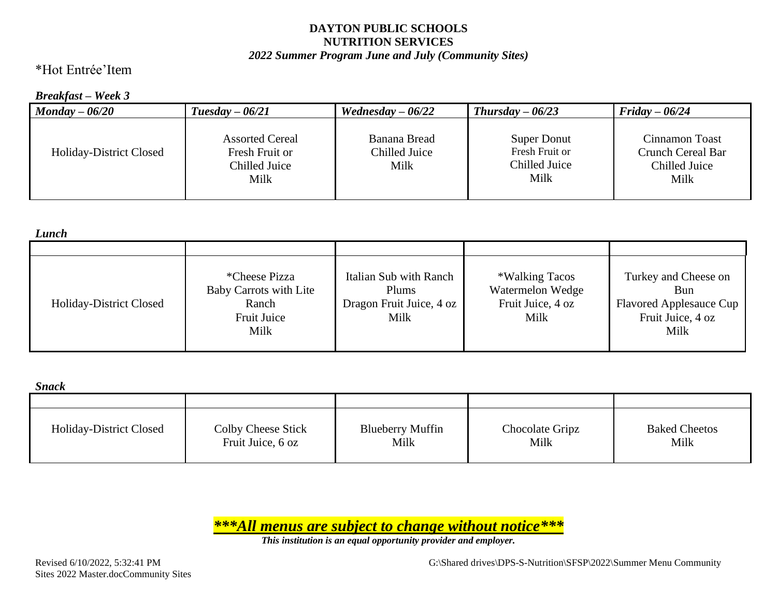#### *2022 Summer Program June and July (Community Sites)*

## \*Hot Entrée'Item

#### *Breakfast – Week 3*

| $Moday - 06/20$                | $Tuesday - 06/21$                                                 | Wednesday $-06/22$                    | $Thursday - 06/23$                                            | $Friday - 06/24$                                                    |
|--------------------------------|-------------------------------------------------------------------|---------------------------------------|---------------------------------------------------------------|---------------------------------------------------------------------|
| <b>Holiday-District Closed</b> | <b>Assorted Cereal</b><br>Fresh Fruit or<br>Chilled Juice<br>Milk | Banana Bread<br>Chilled Juice<br>Milk | <b>Super Donut</b><br>Fresh Fruit or<br>Chilled Juice<br>Milk | Cinnamon Toast<br><b>Crunch Cereal Bar</b><br>Chilled Juice<br>Milk |

| Lunch                          |                                                                                |                                                                     |                                                                 |                                                                                     |
|--------------------------------|--------------------------------------------------------------------------------|---------------------------------------------------------------------|-----------------------------------------------------------------|-------------------------------------------------------------------------------------|
|                                |                                                                                |                                                                     |                                                                 |                                                                                     |
| <b>Holiday-District Closed</b> | <i>*Cheese Pizza</i><br>Baby Carrots with Lite<br>Ranch<br>Fruit Juice<br>Milk | Italian Sub with Ranch<br>Plums<br>Dragon Fruit Juice, 4 oz<br>Milk | *Walking Tacos<br>Watermelon Wedge<br>Fruit Juice, 4 oz<br>Milk | Turkey and Cheese on<br>Bun<br>Flavored Applesauce Cup<br>Fruit Juice, 4 oz<br>Milk |

| Snack |
|-------|
|-------|

| onach                          |                                         |                                 |                         |                              |
|--------------------------------|-----------------------------------------|---------------------------------|-------------------------|------------------------------|
|                                |                                         |                                 |                         |                              |
| <b>Holiday-District Closed</b> | Colby Cheese Stick<br>Fruit Juice, 6 oz | <b>Blueberry Muffin</b><br>Milk | Chocolate Gripz<br>Milk | <b>Baked Cheetos</b><br>Milk |

*\*\*\*All menus are subject to change without notice\*\*\**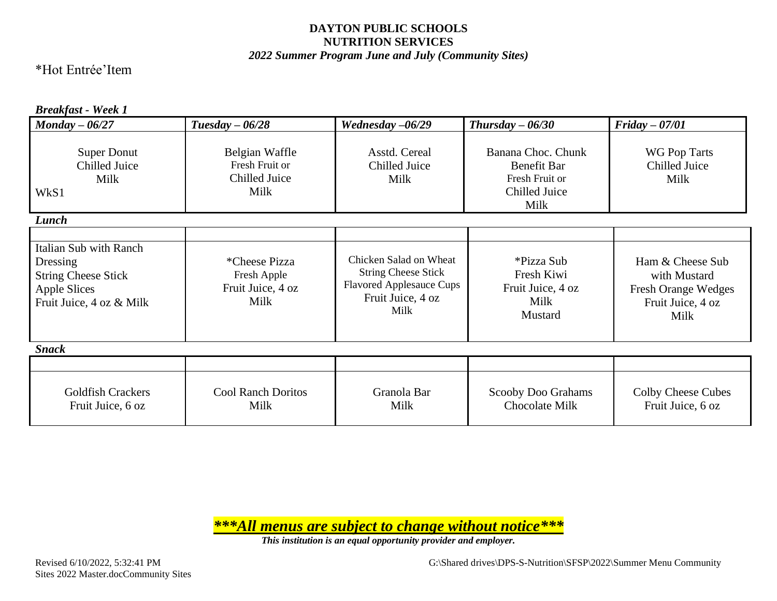#### *2022 Summer Program June and July (Community Sites)*

### \*Hot Entrée'Item

#### *Breakfast - Week 1*

| $\boldsymbol{M}$ onday – 06/27                                                                                             | $Tuesday - 06/28$                                                | Wednesday -06/29                                                                                                     | $Thursday - 06/30$                                                                  | $Friday - 07/01$                                                                            |
|----------------------------------------------------------------------------------------------------------------------------|------------------------------------------------------------------|----------------------------------------------------------------------------------------------------------------------|-------------------------------------------------------------------------------------|---------------------------------------------------------------------------------------------|
| <b>Super Donut</b><br>Chilled Juice<br>Milk<br>WkS1                                                                        | Belgian Waffle<br>Fresh Fruit or<br><b>Chilled Juice</b><br>Milk | Asstd. Cereal<br>Chilled Juice<br>Milk                                                                               | Banana Choc. Chunk<br><b>Benefit Bar</b><br>Fresh Fruit or<br>Chilled Juice<br>Milk | <b>WG Pop Tarts</b><br>Chilled Juice<br>Milk                                                |
| Lunch                                                                                                                      |                                                                  |                                                                                                                      |                                                                                     |                                                                                             |
| <b>Italian Sub with Ranch</b><br>Dressing<br><b>String Cheese Stick</b><br><b>Apple Slices</b><br>Fruit Juice, 4 oz & Milk | <i>*Cheese Pizza</i><br>Fresh Apple<br>Fruit Juice, 4 oz<br>Milk | Chicken Salad on Wheat<br><b>String Cheese Stick</b><br><b>Flavored Applesauce Cups</b><br>Fruit Juice, 4 oz<br>Milk | *Pizza Sub<br>Fresh Kiwi<br>Fruit Juice, 4 oz<br>Milk<br>Mustard                    | Ham & Cheese Sub<br>with Mustard<br><b>Fresh Orange Wedges</b><br>Fruit Juice, 4 oz<br>Milk |
| <b>Snack</b>                                                                                                               |                                                                  |                                                                                                                      |                                                                                     |                                                                                             |
|                                                                                                                            |                                                                  |                                                                                                                      |                                                                                     |                                                                                             |
| <b>Goldfish Crackers</b><br>Fruit Juice, 6 oz                                                                              | <b>Cool Ranch Doritos</b><br>Milk                                | Granola Bar<br>Milk                                                                                                  | Scooby Doo Grahams<br>Chocolate Milk                                                | <b>Colby Cheese Cubes</b><br>Fruit Juice, 6 oz                                              |

*\*\*\*All menus are subject to change without notice\*\*\**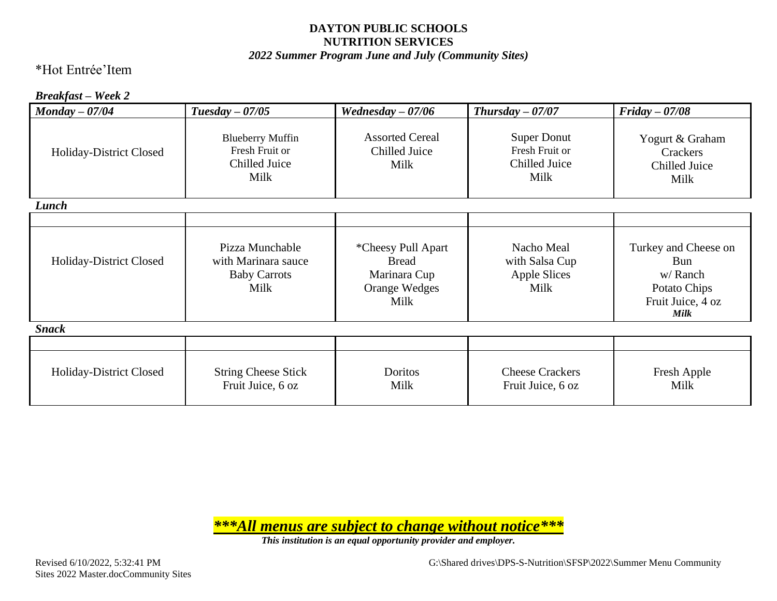#### *2022 Summer Program June and July (Community Sites)*

## \*Hot Entrée'Item

#### *Breakfast – Week 2*

| $\textit{Monday} - 07/04$ | $Tuesday - 07/05$                                                     | Wednesday $-07/06$                                                                 | Thursday $-07/07$                                             | $Friday - 07/08$                                                                    |
|---------------------------|-----------------------------------------------------------------------|------------------------------------------------------------------------------------|---------------------------------------------------------------|-------------------------------------------------------------------------------------|
| Holiday-District Closed   | <b>Blueberry Muffin</b><br>Fresh Fruit or<br>Chilled Juice<br>Milk    | <b>Assorted Cereal</b><br>Chilled Juice<br>Milk                                    | <b>Super Donut</b><br>Fresh Fruit or<br>Chilled Juice<br>Milk | Yogurt & Graham<br>Crackers<br>Chilled Juice<br>Milk                                |
| Lunch                     |                                                                       |                                                                                    |                                                               |                                                                                     |
|                           |                                                                       |                                                                                    |                                                               |                                                                                     |
| Holiday-District Closed   | Pizza Munchable<br>with Marinara sauce<br><b>Baby Carrots</b><br>Milk | *Cheesy Pull Apart<br><b>Bread</b><br>Marinara Cup<br><b>Orange Wedges</b><br>Milk | Nacho Meal<br>with Salsa Cup<br><b>Apple Slices</b><br>Milk   | Turkey and Cheese on<br>Bun<br>w/Ranch<br>Potato Chips<br>Fruit Juice, 4 oz<br>Milk |
| <b>Snack</b>              |                                                                       |                                                                                    |                                                               |                                                                                     |
|                           |                                                                       |                                                                                    |                                                               |                                                                                     |
| Holiday-District Closed   | <b>String Cheese Stick</b><br>Fruit Juice, 6 oz                       | Doritos<br>Milk                                                                    | <b>Cheese Crackers</b><br>Fruit Juice, 6 oz                   | Fresh Apple<br>Milk                                                                 |

*\*\*\*All menus are subject to change without notice\*\*\**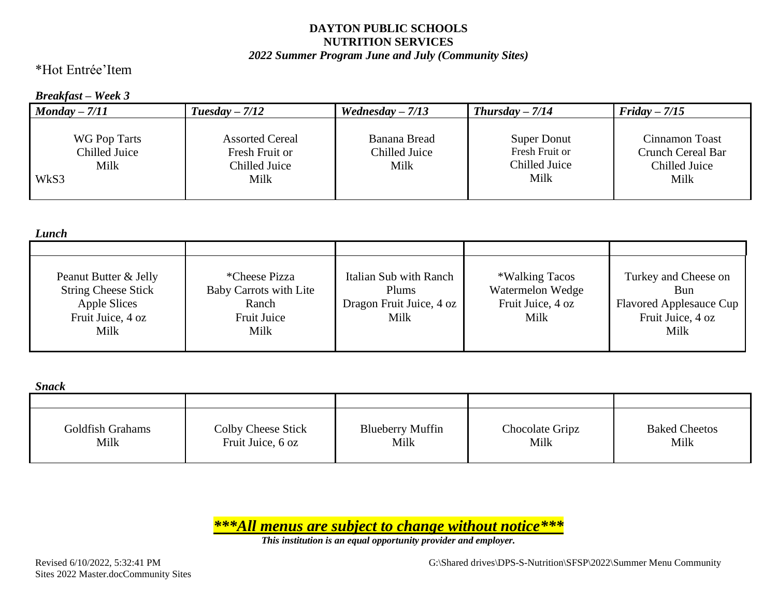#### *2022 Summer Program June and July (Community Sites)*

\*Hot Entrée'Item

#### *Breakfast – Week 3*

| $Monday - 7/11$                                      | $Tuesday-7/12$                                                    | Wednesday $-7/13$                     | $Thursday - 7/14$                                      | $Friday - 7/15$                                                     |
|------------------------------------------------------|-------------------------------------------------------------------|---------------------------------------|--------------------------------------------------------|---------------------------------------------------------------------|
| <b>WG Pop Tarts</b><br>Chilled Juice<br>Milk<br>WkS3 | <b>Assorted Cereal</b><br>Fresh Fruit or<br>Chilled Juice<br>Milk | Banana Bread<br>Chilled Juice<br>Milk | Super Donut<br>Fresh Fruit or<br>Chilled Juice<br>Milk | Cinnamon Toast<br><b>Crunch Cereal Bar</b><br>Chilled Juice<br>Milk |

| Lunch                                                                                            |                                                                                |                                                                     |                                                                 |                                                                                            |
|--------------------------------------------------------------------------------------------------|--------------------------------------------------------------------------------|---------------------------------------------------------------------|-----------------------------------------------------------------|--------------------------------------------------------------------------------------------|
|                                                                                                  |                                                                                |                                                                     |                                                                 |                                                                                            |
| Peanut Butter & Jelly<br><b>String Cheese Stick</b><br>Apple Slices<br>Fruit Juice, 4 oz<br>Milk | <i>*Cheese Pizza</i><br>Baby Carrots with Lite<br>Ranch<br>Fruit Juice<br>Milk | Italian Sub with Ranch<br>Plums<br>Dragon Fruit Juice, 4 oz<br>Milk | *Walking Tacos<br>Watermelon Wedge<br>Fruit Juice, 4 oz<br>Milk | Turkey and Cheese on<br>Bun<br><b>Flavored Applesauce Cup</b><br>Fruit Juice, 4 oz<br>Milk |

*Snack*

| <i>www.</i>              |                                         |                                 |                         |                              |
|--------------------------|-----------------------------------------|---------------------------------|-------------------------|------------------------------|
|                          |                                         |                                 |                         |                              |
| Goldfish Grahams<br>Milk | Colby Cheese Stick<br>Fruit Juice, 6 oz | <b>Blueberry Muffin</b><br>Milk | Chocolate Gripz<br>Milk | <b>Baked Cheetos</b><br>Milk |

*\*\*\*All menus are subject to change without notice\*\*\**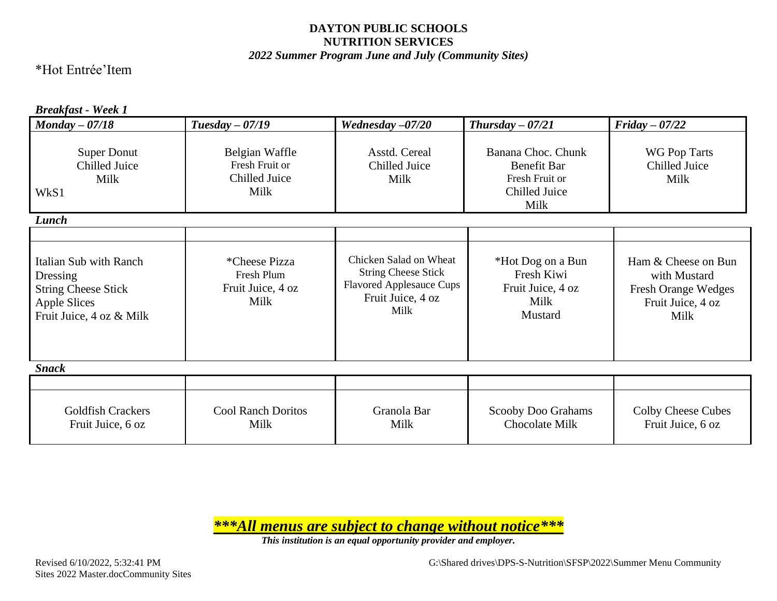#### *2022 Summer Program June and July (Community Sites)*

### \*Hot Entrée'Item

#### *Breakfast - Week 1*

| $\textit{Monday} - 07/18$                                                                                           | $Tuesday - 07/19$                                         | Wednesday $-07/20$                                                                                                   | Thursday $-07/21$                                                            | $Friday - 07/22$                                                                        |
|---------------------------------------------------------------------------------------------------------------------|-----------------------------------------------------------|----------------------------------------------------------------------------------------------------------------------|------------------------------------------------------------------------------|-----------------------------------------------------------------------------------------|
| <b>Super Donut</b><br>Chilled Juice<br>Milk<br>WkS1                                                                 | Belgian Waffle<br>Fresh Fruit or<br>Chilled Juice<br>Milk | Asstd. Cereal<br>Chilled Juice<br>Milk                                                                               | Banana Choc. Chunk<br>Benefit Bar<br>Fresh Fruit or<br>Chilled Juice<br>Milk | <b>WG Pop Tarts</b><br>Chilled Juice<br>Milk                                            |
| Lunch                                                                                                               |                                                           |                                                                                                                      |                                                                              |                                                                                         |
| Italian Sub with Ranch<br>Dressing<br><b>String Cheese Stick</b><br><b>Apple Slices</b><br>Fruit Juice, 4 oz & Milk | *Cheese Pizza<br>Fresh Plum<br>Fruit Juice, 4 oz<br>Milk  | Chicken Salad on Wheat<br><b>String Cheese Stick</b><br><b>Flavored Applesauce Cups</b><br>Fruit Juice, 4 oz<br>Milk | *Hot Dog on a Bun<br>Fresh Kiwi<br>Fruit Juice, 4 oz<br>Milk<br>Mustard      | Ham & Cheese on Bun<br>with Mustard<br>Fresh Orange Wedges<br>Fruit Juice, 4 oz<br>Milk |
| <b>Snack</b>                                                                                                        |                                                           |                                                                                                                      |                                                                              |                                                                                         |
| <b>Goldfish Crackers</b><br>Fruit Juice, 6 oz                                                                       | <b>Cool Ranch Doritos</b><br>Milk                         | Granola Bar<br>Milk                                                                                                  | Scooby Doo Grahams<br>Chocolate Milk                                         | <b>Colby Cheese Cubes</b><br>Fruit Juice, 6 oz                                          |

*\*\*\*All menus are subject to change without notice\*\*\**